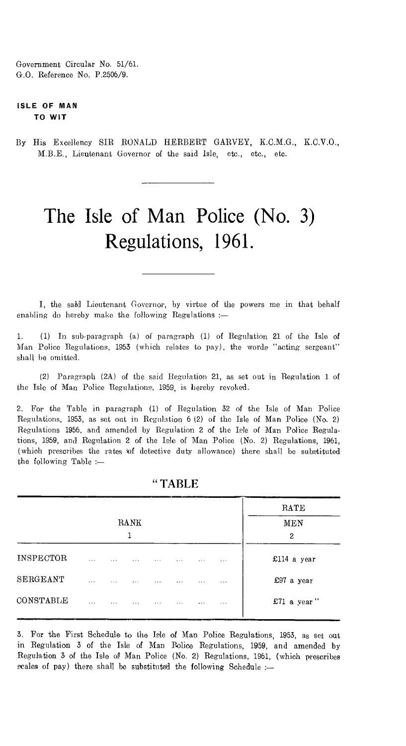Government Circular No. 51/61. G.O. Reference No. P.2506/9.

### **ISLE OF MAN TO WIT**

By His Excellency SIR RONALD HERBERT GARVEY, K.C.M.G., K.C.V.O., M.B.E., Lieutenant Governor of the said Isle, etc., etc., etc.

# The Isle of Man Police (No. 3) Regulations, 1961.

I, the said Lieutenant Governor, by virtue of the powers me in that behalf enabling do hereby make the following Regulations :—

1. (1) In sub-paragraph (a) of paragraph (1) of Regulation 21 of the Isle of Man Police Regulations, 1953 (which relates to pay), the worde "acting sergeant" shall he omitted.

(2) Paragraph (2A) of the said Regulation 21, as set out in Regulation 1 of the Isle of Man Police Regulations, 1959, is hereby revoked.

2. For the Table in paragraph (1) of Regulation 32 of the Isle of Man Police Regulations, 1953, as set out in Regulation 6 (2) of the Isle of Man Police (No. 2) Regulations 1956, and amended by Regulation 2 of the Isle of Man. Police Regulations, 1959, and Regulation 2 of the Isle of Man Police (No. 2) Regulations, 1961, (which prescribes the rates of detective duty allowance) there shall be substituted the following Table :—

| RATE        |          |          |          |          |          |          |          |                  |  |
|-------------|----------|----------|----------|----------|----------|----------|----------|------------------|--|
| MEN<br>2    |          | RANK     |          |          |          |          |          |                  |  |
| £114 a year | $\cdots$ | $\cdots$ | $\cdots$ | $\cdots$ | $\cdots$ | $\cdots$ | .        | <b>INSPECTOR</b> |  |
| £97 a year  | $\cdots$ | $\cdots$ | $\cdots$ | $\cdots$ | $\cdots$ | $\cdots$ | $\cdots$ | SERGEANT         |  |
| £71 a year" | $\cdots$ | $\cdots$ | $\cdots$ | $\cdots$ | $\cdots$ | $\cdots$ | $\cdots$ |                  |  |
|             |          |          |          |          |          |          |          | CONSTABLE        |  |

" TABLE

3. For the First Schedule to the Isle of Man Police Regulations, 1953, as set out in Regulation 3 of the Isle of Man Police Regulations, 1959, and amended by Regulation 3 of the Isle of Man Police (No. 2) Regulations, 1961, (which prescribes ecales of pay) there shall be substituted the following Schedule :-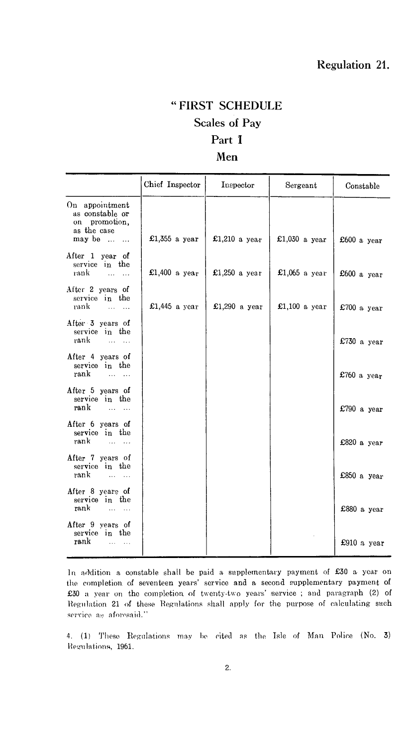## " FIRST SCHEDULE Scales of Pay Part I Men

|                                                                                                  | Chief Inspector | Inspector     | Sergeant        | Constable   |
|--------------------------------------------------------------------------------------------------|-----------------|---------------|-----------------|-------------|
| On appointment<br>as constable or<br>on promotion,<br>as the case<br>may be $\dots$<br>$\ddotsc$ | £1,355 a year   | £1,210 a year | £1,030 a year   | £600 a year |
| After 1 year of<br>service in the<br>rank<br>$\cdots$ $\cdots$                                   | £1,400 a year   | £1,250 a year | £1,065 a year   | £600 a year |
| After 2 years of<br>service in the<br>rank                                                       | £1,445 a year   | £1,290 a year | £1,100 $a$ year | £700 a year |
| After 3 years of<br>service in the<br>rank                                                       |                 |               |                 | £730 a year |
| After 4 years of<br>service in the<br>rank<br>and a state                                        |                 |               |                 | £760 a year |
| After 5 years of<br>service in the<br>rank<br>$\sim$ $\sim$ $\sim$ $\sim$ $\sim$ $\sim$ $\sim$   |                 |               |                 | £790 a year |
| After 6 years of<br>service in the<br>rank<br>$\sim$ $\sim$ $\sim$ $\sim$                        |                 |               |                 | £820 a year |
| After 7 years of<br>service in the<br>rank<br>$\sim$<br>$\ddotsc$                                |                 |               |                 | £850 a year |
| After 8 years of<br>service in the<br>rank                                                       |                 |               |                 | £880 a year |
| After 9 years of<br>service in the<br>rank<br>$\cdots$                                           |                 |               |                 | £910 a year |

addition a constable shall be paid a supplementary payment of £30 a year on the completion of seventeen years' service and a second supplementary payment of £30 a year on the completion of twenty-two years' service ; and paragraph (2) of Regulation 21 of these Regulations shall apply for the purpose of calculating such service as aforesaid."

4. (1) These Regulations may be cited as the Isle of Man Police (No. 3) Regulations, 1961.